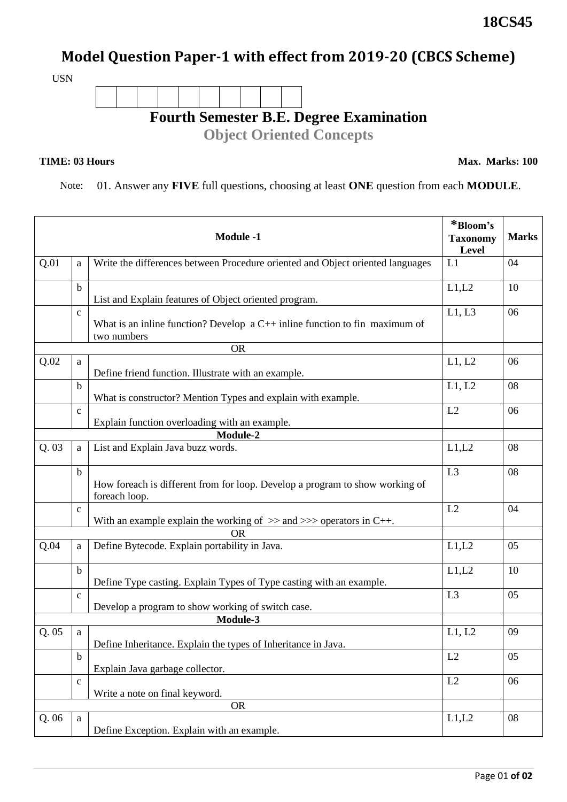## **Model Question Paper-1 with effect from 2019-20 (CBCS Scheme)**

USN



## **TIME: 03 Hours**

**Max. Marks: 100**

## Note: 01. Answer any **FIVE** full questions, choosing at least **ONE** question from each **MODULE**.

| <b>Module -1</b> |              |                                                                                               | *Bloom's<br><b>Taxonomy</b><br>Level | <b>Marks</b> |
|------------------|--------------|-----------------------------------------------------------------------------------------------|--------------------------------------|--------------|
| Q.01             | a            | Write the differences between Procedure oriented and Object oriented languages                | L1                                   | 04           |
|                  | $\mathbf b$  | List and Explain features of Object oriented program.                                         | L1,L2                                | 10           |
|                  | $\mathbf{C}$ | What is an inline function? Develop $a C++$ inline function to fin maximum of<br>two numbers  | L1, L3                               | 06           |
|                  |              | <b>OR</b>                                                                                     |                                      |              |
| Q.02             | a            | Define friend function. Illustrate with an example.                                           | L1, L2                               | 06           |
|                  | b            | What is constructor? Mention Types and explain with example.                                  | L1, L2                               | 08           |
|                  | $\mathbf c$  | Explain function overloading with an example.                                                 | L2                                   | 06           |
|                  |              | Module-2                                                                                      |                                      |              |
| Q.03             | a            | List and Explain Java buzz words.                                                             | L1,L2                                | 08           |
|                  | $\mathbf b$  | How foreach is different from for loop. Develop a program to show working of<br>foreach loop. | L3                                   | 08           |
|                  | $\mathbf{C}$ | With an example explain the working of $\gg$ and $\gg$ operators in C++.                      | L2                                   | 04           |
|                  |              | <b>OR</b>                                                                                     |                                      |              |
| Q.04             | a            | Define Bytecode. Explain portability in Java.                                                 | L1,L2                                | 05           |
|                  | $\mathbf b$  | Define Type casting. Explain Types of Type casting with an example.                           | L1,L2                                | 10           |
|                  | $\mathbf c$  | Develop a program to show working of switch case.                                             | L <sub>3</sub>                       | 05           |
|                  |              | Module-3                                                                                      |                                      |              |
| Q. 05            | a            | Define Inheritance. Explain the types of Inheritance in Java.                                 | L1, L2                               | 09           |
|                  | b            | Explain Java garbage collector.                                                               | L2                                   | 05           |
|                  | $\mathbf c$  | Write a note on final keyword.                                                                | L2                                   | 06           |
|                  |              | <b>OR</b>                                                                                     |                                      |              |
| Q.06             | a            | Define Exception. Explain with an example.                                                    | L1,L2                                | 08           |